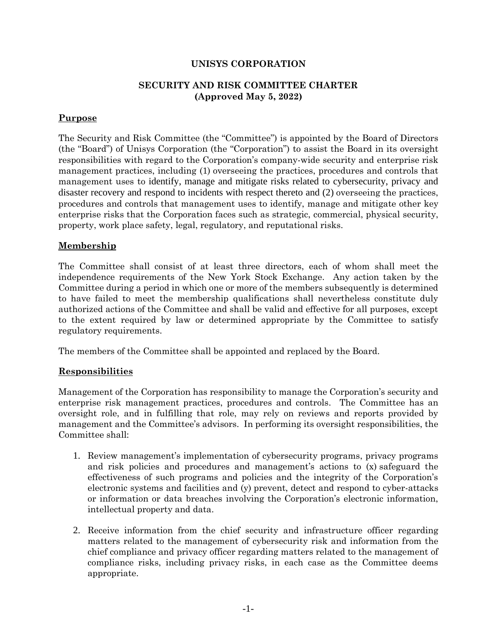### **UNISYS CORPORATION**

#### **SECURITY AND RISK COMMITTEE CHARTER (Approved May 5, 2022)**

### **Purpose**

The Security and Risk Committee (the "Committee") is appointed by the Board of Directors (the "Board") of Unisys Corporation (the "Corporation") to assist the Board in its oversight responsibilities with regard to the Corporation's company-wide security and enterprise risk management practices, including (1) overseeing the practices, procedures and controls that management uses to identify, manage and mitigate risks related to cybersecurity, privacy and disaster recovery and respond to incidents with respect thereto and (2) overseeing the practices, procedures and controls that management uses to identify, manage and mitigate other key enterprise risks that the Corporation faces such as strategic, commercial, physical security, property, work place safety, legal, regulatory, and reputational risks.

#### **Membership**

The Committee shall consist of at least three directors, each of whom shall meet the independence requirements of the New York Stock Exchange. Any action taken by the Committee during a period in which one or more of the members subsequently is determined to have failed to meet the membership qualifications shall nevertheless constitute duly authorized actions of the Committee and shall be valid and effective for all purposes, except to the extent required by law or determined appropriate by the Committee to satisfy regulatory requirements.

The members of the Committee shall be appointed and replaced by the Board.

## **Responsibilities**

Management of the Corporation has responsibility to manage the Corporation's security and enterprise risk management practices, procedures and controls. The Committee has an oversight role, and in fulfilling that role, may rely on reviews and reports provided by management and the Committee's advisors. In performing its oversight responsibilities, the Committee shall:

- 1. Review management's implementation of cybersecurity programs, privacy programs and risk policies and procedures and management's actions to (x) safeguard the effectiveness of such programs and policies and the integrity of the Corporation's electronic systems and facilities and (y) prevent, detect and respond to cyber-attacks or information or data breaches involving the Corporation's electronic information, intellectual property and data.
- 2. Receive information from the chief security and infrastructure officer regarding matters related to the management of cybersecurity risk and information from the chief compliance and privacy officer regarding matters related to the management of compliance risks, including privacy risks, in each case as the Committee deems appropriate.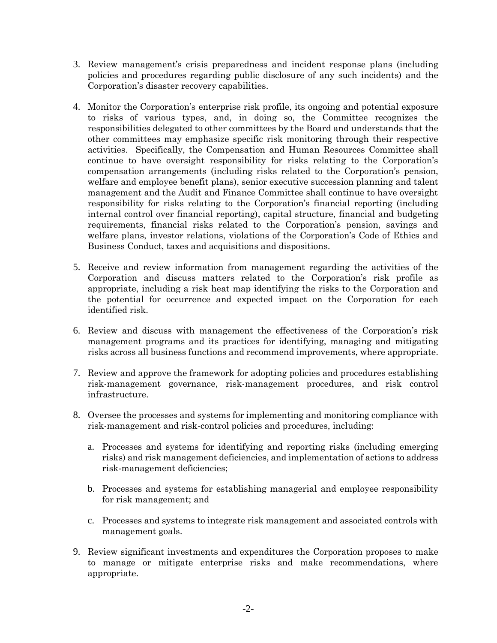- 3. Review management's crisis preparedness and incident response plans (including policies and procedures regarding public disclosure of any such incidents) and the Corporation's disaster recovery capabilities.
- 4. Monitor the Corporation's enterprise risk profile, its ongoing and potential exposure to risks of various types, and, in doing so, the Committee recognizes the responsibilities delegated to other committees by the Board and understands that the other committees may emphasize specific risk monitoring through their respective activities. Specifically, the Compensation and Human Resources Committee shall continue to have oversight responsibility for risks relating to the Corporation's compensation arrangements (including risks related to the Corporation's pension, welfare and employee benefit plans), senior executive succession planning and talent management and the Audit and Finance Committee shall continue to have oversight responsibility for risks relating to the Corporation's financial reporting (including internal control over financial reporting), capital structure, financial and budgeting requirements, financial risks related to the Corporation's pension, savings and welfare plans, investor relations, violations of the Corporation's Code of Ethics and Business Conduct, taxes and acquisitions and dispositions.
- 5. Receive and review information from management regarding the activities of the Corporation and discuss matters related to the Corporation's risk profile as appropriate, including a risk heat map identifying the risks to the Corporation and the potential for occurrence and expected impact on the Corporation for each identified risk.
- 6. Review and discuss with management the effectiveness of the Corporation's risk management programs and its practices for identifying, managing and mitigating risks across all business functions and recommend improvements, where appropriate.
- 7. Review and approve the framework for adopting policies and procedures establishing risk-management governance, risk-management procedures, and risk control infrastructure.
- 8. Oversee the processes and systems for implementing and monitoring compliance with risk-management and risk-control policies and procedures, including:
	- a. Processes and systems for identifying and reporting risks (including emerging risks) and risk management deficiencies, and implementation of actions to address risk-management deficiencies;
	- b. Processes and systems for establishing managerial and employee responsibility for risk management; and
	- c. Processes and systems to integrate risk management and associated controls with management goals.
- 9. Review significant investments and expenditures the Corporation proposes to make to manage or mitigate enterprise risks and make recommendations, where appropriate.